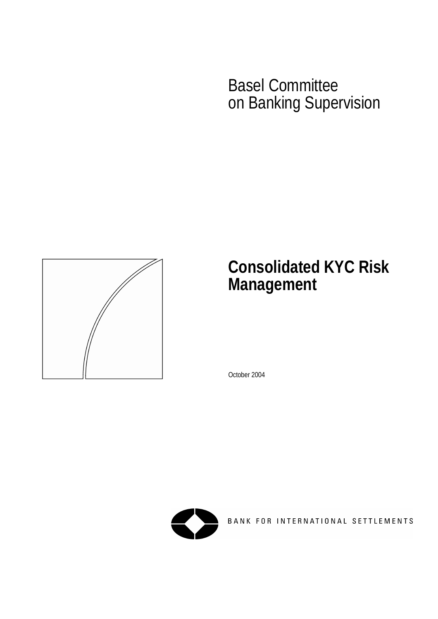## Basel Committee on Banking Supervision



# **Consolidated KYC Risk Management**

October 2004



BANK FOR INTERNATIONAL SETTLEMENTS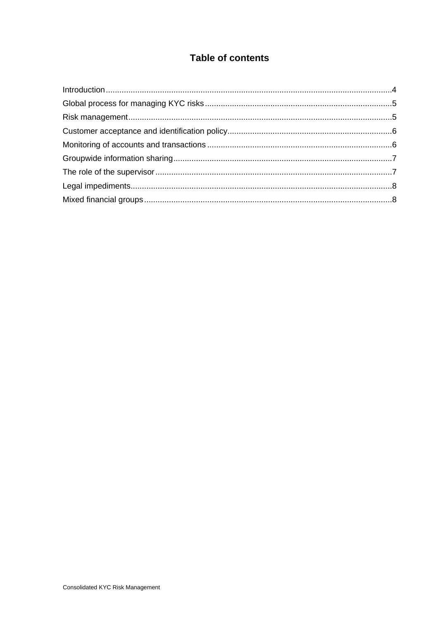### **Table of contents**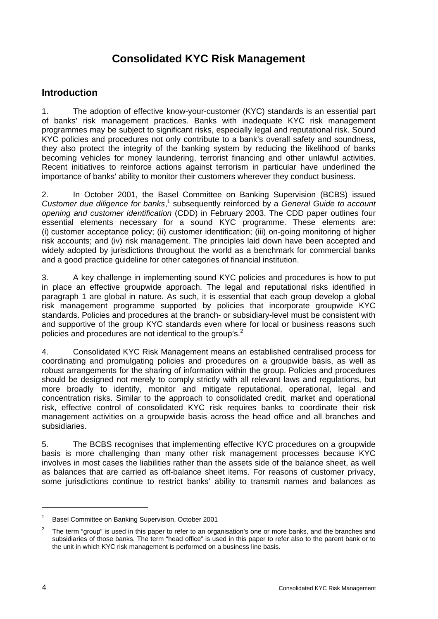### **Consolidated KYC Risk Management**

#### **Introduction**

1. The adoption of effective know-your-customer (KYC) standards is an essential part of banks' risk management practices. Banks with inadequate KYC risk management programmes may be subject to significant risks, especially legal and reputational risk. Sound KYC policies and procedures not only contribute to a bank's overall safety and soundness, they also protect the integrity of the banking system by reducing the likelihood of banks becoming vehicles for money laundering, terrorist financing and other unlawful activities. Recent initiatives to reinforce actions against terrorism in particular have underlined the importance of banks' ability to monitor their customers wherever they conduct business.

2. In October 2001, the Basel Committee on Banking Supervision (BCBS) issued *Customer due diligence for banks*, <sup>1</sup> subsequently reinforced by a *General Guide to account opening and customer identification* (CDD) in February 2003. The CDD paper outlines four essential elements necessary for a sound KYC programme. These elements are: (i) customer acceptance policy; (ii) customer identification; (iii) on-going monitoring of higher risk accounts; and (iv) risk management. The principles laid down have been accepted and widely adopted by jurisdictions throughout the world as a benchmark for commercial banks and a good practice guideline for other categories of financial institution.

3. A key challenge in implementing sound KYC policies and procedures is how to put in place an effective groupwide approach. The legal and reputational risks identified in paragraph 1 are global in nature. As such, it is essential that each group develop a global risk management programme supported by policies that incorporate groupwide KYC standards. Policies and procedures at the branch- or subsidiary-level must be consistent with and supportive of the group KYC standards even where for local or business reasons such policies and procedures are not identical to the group's. $2$ 

4. Consolidated KYC Risk Management means an established centralised process for coordinating and promulgating policies and procedures on a groupwide basis, as well as robust arrangements for the sharing of information within the group. Policies and procedures should be designed not merely to comply strictly with all relevant laws and regulations, but more broadly to identify, monitor and mitigate reputational, operational, legal and concentration risks. Similar to the approach to consolidated credit, market and operational risk, effective control of consolidated KYC risk requires banks to coordinate their risk management activities on a groupwide basis across the head office and all branches and subsidiaries.

5. The BCBS recognises that implementing effective KYC procedures on a groupwide basis is more challenging than many other risk management processes because KYC involves in most cases the liabilities rather than the assets side of the balance sheet, as well as balances that are carried as off-balance sheet items. For reasons of customer privacy, some jurisdictions continue to restrict banks' ability to transmit names and balances as

<sup>1</sup> Basel Committee on Banking Supervision, October 2001

<sup>2</sup> The term "group" is used in this paper to refer to an organisation's one or more banks, and the branches and subsidiaries of those banks. The term "head office" is used in this paper to refer also to the parent bank or to the unit in which KYC risk management is performed on a business line basis.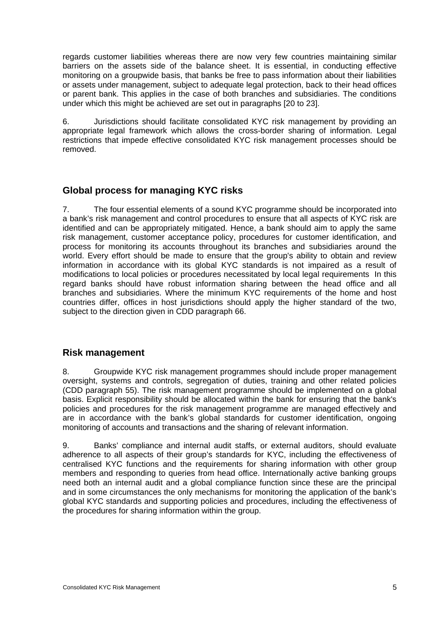regards customer liabilities whereas there are now very few countries maintaining similar barriers on the assets side of the balance sheet. It is essential, in conducting effective monitoring on a groupwide basis, that banks be free to pass information about their liabilities or assets under management, subject to adequate legal protection, back to their head offices or parent bank. This applies in the case of both branches and subsidiaries. The conditions under which this might be achieved are set out in paragraphs [20 to 23].

6. Jurisdictions should facilitate consolidated KYC risk management by providing an appropriate legal framework which allows the cross-border sharing of information. Legal restrictions that impede effective consolidated KYC risk management processes should be removed.

#### **Global process for managing KYC risks**

7. The four essential elements of a sound KYC programme should be incorporated into a bank's risk management and control procedures to ensure that all aspects of KYC risk are identified and can be appropriately mitigated. Hence, a bank should aim to apply the same risk management, customer acceptance policy, procedures for customer identification, and process for monitoring its accounts throughout its branches and subsidiaries around the world. Every effort should be made to ensure that the group's ability to obtain and review information in accordance with its global KYC standards is not impaired as a result of modifications to local policies or procedures necessitated by local legal requirements In this regard banks should have robust information sharing between the head office and all branches and subsidiaries. Where the minimum KYC requirements of the home and host countries differ, offices in host jurisdictions should apply the higher standard of the two, subject to the direction given in CDD paragraph 66.

#### **Risk management**

8. Groupwide KYC risk management programmes should include proper management oversight, systems and controls, segregation of duties, training and other related policies (CDD paragraph 55). The risk management programme should be implemented on a global basis. Explicit responsibility should be allocated within the bank for ensuring that the bank's policies and procedures for the risk management programme are managed effectively and are in accordance with the bank's global standards for customer identification, ongoing monitoring of accounts and transactions and the sharing of relevant information.

9. Banks' compliance and internal audit staffs, or external auditors, should evaluate adherence to all aspects of their group's standards for KYC, including the effectiveness of centralised KYC functions and the requirements for sharing information with other group members and responding to queries from head office. Internationally active banking groups need both an internal audit and a global compliance function since these are the principal and in some circumstances the only mechanisms for monitoring the application of the bank's global KYC standards and supporting policies and procedures, including the effectiveness of the procedures for sharing information within the group.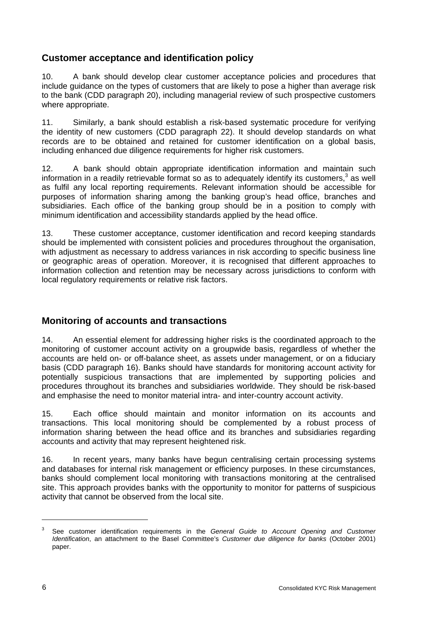#### **Customer acceptance and identification policy**

10. A bank should develop clear customer acceptance policies and procedures that include guidance on the types of customers that are likely to pose a higher than average risk to the bank (CDD paragraph 20), including managerial review of such prospective customers where appropriate.

11. Similarly, a bank should establish a risk-based systematic procedure for verifying the identity of new customers (CDD paragraph 22). It should develop standards on what records are to be obtained and retained for customer identification on a global basis, including enhanced due diligence requirements for higher risk customers.

12. A bank should obtain appropriate identification information and maintain such information in a readily retrievable format so as to adequately identify its customers,<sup>3</sup> as well as fulfil any local reporting requirements. Relevant information should be accessible for purposes of information sharing among the banking group's head office, branches and subsidiaries. Each office of the banking group should be in a position to comply with minimum identification and accessibility standards applied by the head office.

13. These customer acceptance, customer identification and record keeping standards should be implemented with consistent policies and procedures throughout the organisation, with adjustment as necessary to address variances in risk according to specific business line or geographic areas of operation. Moreover, it is recognised that different approaches to information collection and retention may be necessary across jurisdictions to conform with local regulatory requirements or relative risk factors.

#### **Monitoring of accounts and transactions**

14. An essential element for addressing higher risks is the coordinated approach to the monitoring of customer account activity on a groupwide basis, regardless of whether the accounts are held on- or off-balance sheet, as assets under management, or on a fiduciary basis (CDD paragraph 16). Banks should have standards for monitoring account activity for potentially suspicious transactions that are implemented by supporting policies and procedures throughout its branches and subsidiaries worldwide. They should be risk-based and emphasise the need to monitor material intra- and inter-country account activity.

15. Each office should maintain and monitor information on its accounts and transactions. This local monitoring should be complemented by a robust process of information sharing between the head office and its branches and subsidiaries regarding accounts and activity that may represent heightened risk.

16. In recent years, many banks have begun centralising certain processing systems and databases for internal risk management or efficiency purposes. In these circumstances, banks should complement local monitoring with transactions monitoring at the centralised site. This approach provides banks with the opportunity to monitor for patterns of suspicious activity that cannot be observed from the local site.

<sup>3</sup> See customer identification requirements in the *General Guide to Account Opening and Customer Identification*, an attachment to the Basel Committee's *Customer due diligence for banks* (October 2001) paper.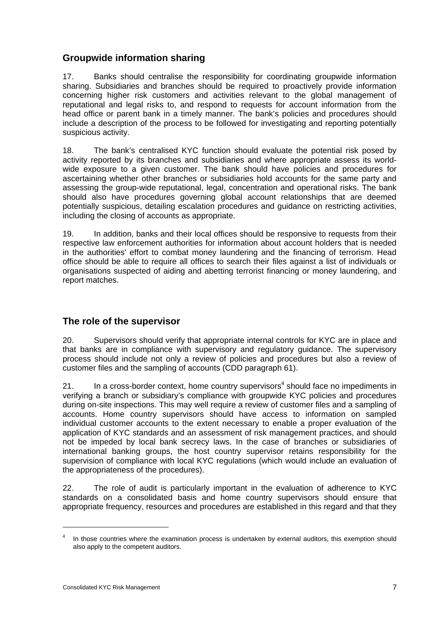#### **Groupwide information sharing**

17. Banks should centralise the responsibility for coordinating groupwide information sharing. Subsidiaries and branches should be required to proactively provide information concerning higher risk customers and activities relevant to the global management of reputational and legal risks to, and respond to requests for account information from the head office or parent bank in a timely manner. The bank's policies and procedures should include a description of the process to be followed for investigating and reporting potentially suspicious activity.

18. The bank's centralised KYC function should evaluate the potential risk posed by activity reported by its branches and subsidiaries and where appropriate assess its worldwide exposure to a given customer. The bank should have policies and procedures for ascertaining whether other branches or subsidiaries hold accounts for the same party and assessing the group-wide reputational, legal, concentration and operational risks. The bank should also have procedures governing global account relationships that are deemed potentially suspicious, detailing escalation procedures and guidance on restricting activities, including the closing of accounts as appropriate.

19. In addition, banks and their local offices should be responsive to requests from their respective law enforcement authorities for information about account holders that is needed in the authorities' effort to combat money laundering and the financing of terrorism. Head office should be able to require all offices to search their files against a list of individuals or organisations suspected of aiding and abetting terrorist financing or money laundering, and report matches.

#### **The role of the supervisor**

20. Supervisors should verify that appropriate internal controls for KYC are in place and that banks are in compliance with supervisory and regulatory guidance. The supervisory process should include not only a review of policies and procedures but also a review of customer files and the sampling of accounts (CDD paragraph 61).

21. In a cross-border context, home country supervisors<sup>4</sup> should face no impediments in verifying a branch or subsidiary's compliance with groupwide KYC policies and procedures during on-site inspections. This may well require a review of customer files and a sampling of accounts. Home country supervisors should have access to information on sampled individual customer accounts to the extent necessary to enable a proper evaluation of the application of KYC standards and an assessment of risk management practices, and should not be impeded by local bank secrecy laws. In the case of branches or subsidiaries of international banking groups, the host country supervisor retains responsibility for the supervision of compliance with local KYC regulations (which would include an evaluation of the appropriateness of the procedures).

22. The role of audit is particularly important in the evaluation of adherence to KYC standards on a consolidated basis and home country supervisors should ensure that appropriate frequency, resources and procedures are established in this regard and that they

 $\overline{a}$ 

In those countries where the examination process is undertaken by external auditors, this exemption should also apply to the competent auditors.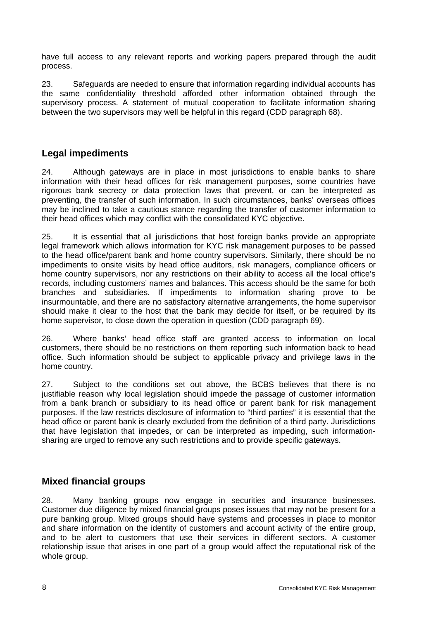have full access to any relevant reports and working papers prepared through the audit process.

23. Safeguards are needed to ensure that information regarding individual accounts has the same confidentiality threshold afforded other information obtained through the supervisory process. A statement of mutual cooperation to facilitate information sharing between the two supervisors may well be helpful in this regard (CDD paragraph 68).

#### **Legal impediments**

24. Although gateways are in place in most jurisdictions to enable banks to share information with their head offices for risk management purposes, some countries have rigorous bank secrecy or data protection laws that prevent, or can be interpreted as preventing, the transfer of such information. In such circumstances, banks' overseas offices may be inclined to take a cautious stance regarding the transfer of customer information to their head offices which may conflict with the consolidated KYC objective.

25. It is essential that all jurisdictions that host foreign banks provide an appropriate legal framework which allows information for KYC risk management purposes to be passed to the head office/parent bank and home country supervisors. Similarly, there should be no impediments to onsite visits by head office auditors, risk managers, compliance officers or home country supervisors, nor any restrictions on their ability to access all the local office's records, including customers' names and balances. This access should be the same for both branches and subsidiaries. If impediments to information sharing prove to be insurmountable, and there are no satisfactory alternative arrangements, the home supervisor should make it clear to the host that the bank may decide for itself, or be required by its home supervisor, to close down the operation in question (CDD paragraph 69).

26. Where banks' head office staff are granted access to information on local customers, there should be no restrictions on them reporting such information back to head office. Such information should be subject to applicable privacy and privilege laws in the home country.

27. Subject to the conditions set out above, the BCBS believes that there is no justifiable reason why local legislation should impede the passage of customer information from a bank branch or subsidiary to its head office or parent bank for risk management purposes. If the law restricts disclosure of information to "third parties" it is essential that the head office or parent bank is clearly excluded from the definition of a third party. Jurisdictions that have legislation that impedes, or can be interpreted as impeding, such informationsharing are urged to remove any such restrictions and to provide specific gateways.

#### **Mixed financial groups**

28. Many banking groups now engage in securities and insurance businesses. Customer due diligence by mixed financial groups poses issues that may not be present for a pure banking group. Mixed groups should have systems and processes in place to monitor and share information on the identity of customers and account activity of the entire group, and to be alert to customers that use their services in different sectors. A customer relationship issue that arises in one part of a group would affect the reputational risk of the whole group.